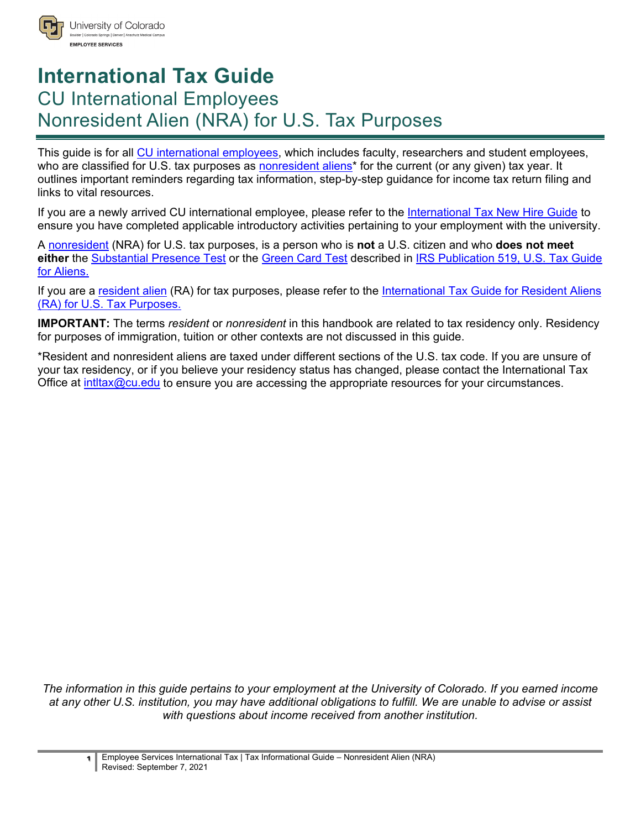

# **International Tax Guide** CU International Employees Nonresident Alien (NRA) for U.S. Tax Purposes

This guide is for all CU [international employees,](#page-9-0) which includes faculty, researchers and student employees, who are classified for U.S. tax purposes as **nonresident aliens**<sup>\*</sup> for the current (or any given) tax year. It outlines important reminders regarding tax information, step-by-step guidance for income tax return filing and links to vital resources.

If you are a newly arrived CU international employee, please refer to the [International Tax New Hire Guide](https://www.cu.edu/node/287645) to ensure you have completed applicable introductory activities pertaining to your employment with the university.

A [nonresident](#page-9-0) (NRA) for U.S. tax purposes, is a person who is **not** a U.S. citizen and who **does not meet**  either the **Substantial Presence Test** or the [Green Card Test](https://www.irs.gov/individuals/international-taxpayers/alien-residency-green-card-test) described in IRS Publication 519, U.S. Tax Guide [for Aliens.](https://www.irs.gov/forms-pubs/about-publication-519)

If you are a [resident alien](#page-9-0) (RA) for tax purposes, please refer to the [International Tax Guide for Resident Aliens](https://www.cu.edu/node/287647)  [\(RA\) for U.S. Tax Purposes.](https://www.cu.edu/node/287647)

**IMPORTANT:** The terms *resident* or *nonresident* in this handbook are related to tax residency only. Residency for purposes of immigration, tuition or other contexts are not discussed in this guide.

\*Resident and nonresident aliens are taxed under different sections of the U.S. tax code. If you are unsure of your tax residency, or if you believe your residency status has changed, please contact the International Tax Office at intitax $@cu.edu$  to ensure you are accessing the appropriate resources for your circumstances.

*The information in this guide pertains to your employment at the University of Colorado. If you earned income at any other U.S. institution, you may have additional obligations to fulfill. We are unable to advise or assist with questions about income received from another institution.*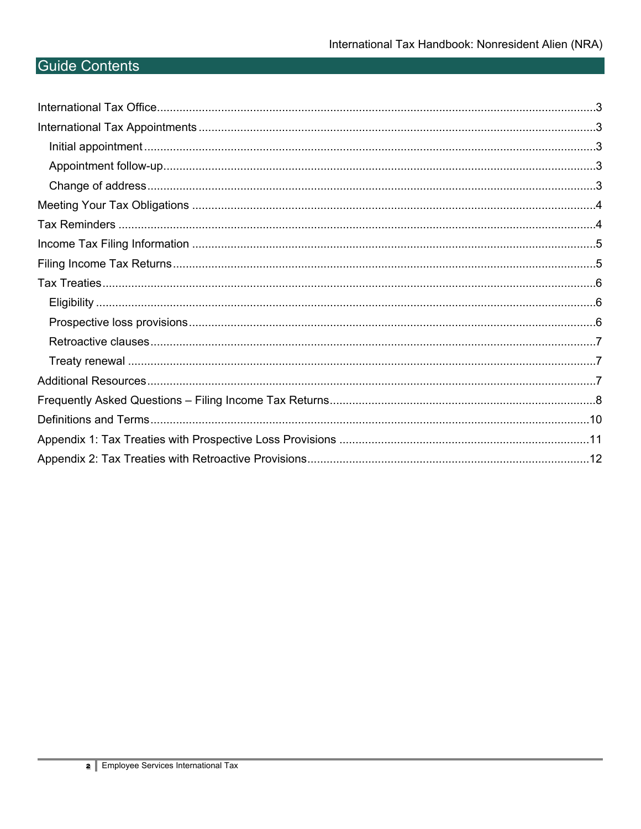# **Guide Contents**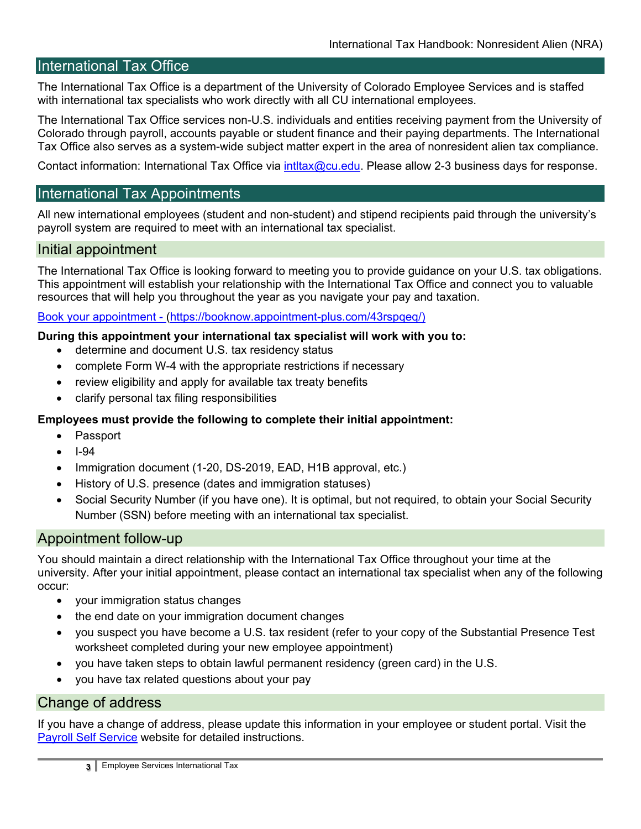# <span id="page-2-0"></span>International Tax Office

The International Tax Office is a department of the University of Colorado Employee Services and is staffed with international tax specialists who work directly with all CU international employees.

The International Tax Office services non-U.S. individuals and entities receiving payment from the University of Colorado through payroll, accounts payable or student finance and their paying departments. The International Tax Office also serves as a system-wide subject matter expert in the area of nonresident alien tax compliance.

Contact information: International Tax Office via intitax@cu.edu. Please allow 2-3 business days for response.

# <span id="page-2-1"></span>International Tax Appointments

All new international employees (student and non-student) and stipend recipients paid through the university's payroll system are required to meet with an international tax specialist.

#### <span id="page-2-2"></span>Initial appointment

The International Tax Office is looking forward to meeting you to provide guidance on your U.S. tax obligations. This appointment will establish your relationship with the International Tax Office and connect you to valuable resources that will help you throughout the year as you navigate your pay and taxation.

#### [Book your appointment](https://booknow.appointment-plus.com/43rspqeq/) - [\(https://booknow.appointment-plus.com/43rspqeq/\)](https://booknow.appointment-plus.com/43rspqeq/)

#### **During this appointment your international tax specialist will work with you to:**

- determine and document U.S. tax residency status
- complete Form W-4 with the appropriate restrictions if necessary
- review eligibility and apply for available tax treaty benefits
- clarify personal tax filing responsibilities

#### **Employees must provide the following to complete their initial appointment:**

- Passport
- I-94
- Immigration document (1-20, DS-2019, EAD, H1B approval, etc.)
- History of U.S. presence (dates and immigration statuses)
- Social Security Number (if you have one). It is optimal, but not required, to obtain your Social Security Number (SSN) before meeting with an international tax specialist.

#### <span id="page-2-3"></span>Appointment follow-up

You should maintain a direct relationship with the International Tax Office throughout your time at the university. After your initial appointment, please contact an international tax specialist when any of the following occur:

- your immigration status changes
- the end date on your immigration document changes
- you suspect you have become a U.S. tax resident (refer to your copy of the Substantial Presence Test worksheet completed during your new employee appointment)
- you have taken steps to obtain lawful permanent residency (green card) in the U.S.
- you have tax related questions about your pay

#### <span id="page-2-4"></span>Change of address

If you have a change of address, please update this information in your employee or student portal. Visit the **[Payroll Self Service](http://www.cu.edu/node/168743) website for detailed instructions.**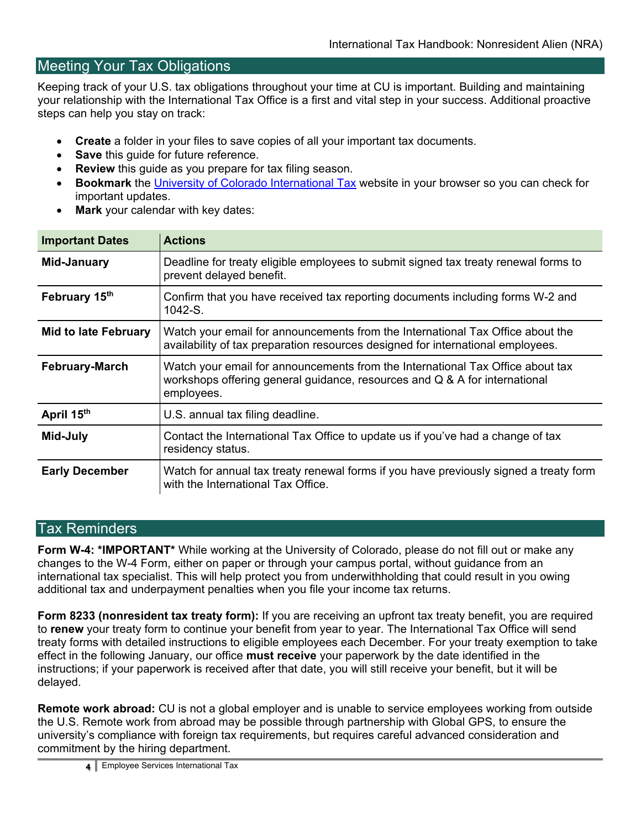# <span id="page-3-0"></span>Meeting Your Tax Obligations

Keeping track of your U.S. tax obligations throughout your time at CU is important. Building and maintaining your relationship with the International Tax Office is a first and vital step in your success. Additional proactive steps can help you stay on track:

- **Create** a folder in your files to save copies of all your important tax documents.
- **Save** this quide for future reference.
- **Review** this quide as you prepare for tax filing season.
- **Bookmark** the [University of Colorado International Tax](http://www.cu.edu/node/2185) website in your browser so you can check for important updates.
- **Mark** your calendar with key dates:

| <b>Important Dates</b>      | <b>Actions</b>                                                                                                                                                             |
|-----------------------------|----------------------------------------------------------------------------------------------------------------------------------------------------------------------------|
| <b>Mid-January</b>          | Deadline for treaty eligible employees to submit signed tax treaty renewal forms to<br>prevent delayed benefit.                                                            |
| February 15th               | Confirm that you have received tax reporting documents including forms W-2 and<br>$1042-S$                                                                                 |
| <b>Mid to late February</b> | Watch your email for announcements from the International Tax Office about the<br>availability of tax preparation resources designed for international employees.          |
| <b>February-March</b>       | Watch your email for announcements from the International Tax Office about tax<br>workshops offering general guidance, resources and Q & A for international<br>employees. |
| April 15th                  | U.S. annual tax filing deadline.                                                                                                                                           |
| Mid-July                    | Contact the International Tax Office to update us if you've had a change of tax<br>residency status.                                                                       |
| <b>Early December</b>       | Watch for annual tax treaty renewal forms if you have previously signed a treaty form<br>with the International Tax Office.                                                |

#### <span id="page-3-1"></span>Tax Reminders

**Form W-4: \*IMPORTANT\*** While working at the University of Colorado, please do not fill out or make any changes to the W-4 Form, either on paper or through your campus portal, without guidance from an international tax specialist. This will help protect you from underwithholding that could result in you owing additional tax and underpayment penalties when you file your income tax returns.

**Form 8233 (nonresident tax treaty form):** If you are receiving an upfront tax treaty benefit, you are required to **renew** your treaty form to continue your benefit from year to year. The International Tax Office will send treaty forms with detailed instructions to eligible employees each December. For your treaty exemption to take effect in the following January, our office **must receive** your paperwork by the date identified in the instructions; if your paperwork is received after that date, you will still receive your benefit, but it will be delayed.

**Remote work abroad:** CU is not a global employer and is unable to service employees working from outside the U.S. Remote work from abroad may be possible through partnership with Global GPS, to ensure the university's compliance with foreign tax requirements, but requires careful advanced consideration and commitment by the hiring department.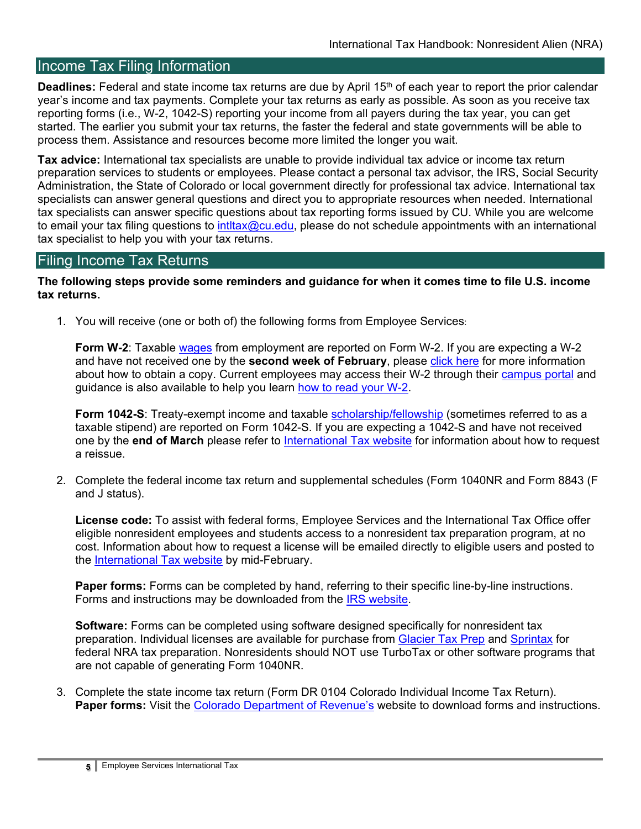# <span id="page-4-0"></span>Income Tax Filing Information

Deadlines: Federal and state income tax returns are due by April 15<sup>th</sup> of each year to report the prior calendar year's income and tax payments. Complete your tax returns as early as possible. As soon as you receive tax reporting forms (i.e., W-2, 1042-S) reporting your income from all payers during the tax year, you can get started. The earlier you submit your tax returns, the faster the federal and state governments will be able to process them. Assistance and resources become more limited the longer you wait.

**Tax advice:** International tax specialists are unable to provide individual tax advice or income tax return preparation services to students or employees. Please contact a personal tax advisor, the IRS, Social Security Administration, the State of Colorado or local government directly for professional tax advice. International tax specialists can answer general questions and direct you to appropriate resources when needed. International tax specialists can answer specific questions about tax reporting forms issued by CU. While you are welcome to email your tax filing questions to intitax@cu.edu, please do not schedule appointments with an international tax specialist to help you with your tax returns.

# <span id="page-4-1"></span>Filing Income Tax Returns

**The following steps provide some reminders and guidance for when it comes time to file U.S. income tax returns.**

1. You will receive (one or both of) the following forms from Employee Services:

**Form W-2**: Taxable [wages](#page-9-0) from employment are reported on Form W-2. If you are expecting a W-2 and have not received one by the **second week of February**, please [click here](https://www.cu.edu/employee-services/payroll/self-service/w-2) for more information about how to obtain a copy. Current employees may access their W-2 through their [campus portal](http://my.cu.edu/) and guidance is also available to help you learn [how to read your W-2.](http://www.cu.edu/node/57107)

**Form 1042-S**: Treaty-exempt income and taxable [scholarship/fellowship](#page-9-0) (sometimes referred to as a taxable stipend) are reported on Form 1042-S. If you are expecting a 1042-S and have not received one by the **end of March** please refer to [International Tax website](http://www.cu.edu/node/2185) for information about how to request a reissue.

2. Complete the federal income tax return and supplemental schedules (Form 1040NR and Form 8843 (F and J status).

**License code:** To assist with federal forms, Employee Services and the International Tax Office offer eligible nonresident employees and students access to a nonresident tax preparation program, at no cost. Information about how to request a license will be emailed directly to eligible users and posted to the [International Tax website](http://www.cu.edu/node/2185) by mid-February.

**Paper forms:** Forms can be completed by hand, referring to their specific line-by-line instructions. Forms and instructions may be downloaded from the [IRS website.](http://www.irs.gov/)

**Software:** Forms can be completed using software designed specifically for nonresident tax preparation. Individual licenses are available for purchase from [Glacier Tax Prep](https://www.glaciertax.com/) and [Sprintax](https://www.sprintax.com/) for federal NRA tax preparation. Nonresidents should NOT use TurboTax or other software programs that are not capable of generating Form 1040NR.

3. Complete the state income tax return (Form DR 0104 Colorado Individual Income Tax Return). **Paper forms:** Visit the [Colorado Department of Revenue's](http://www.colorado.gov/revenue) website to download forms and instructions.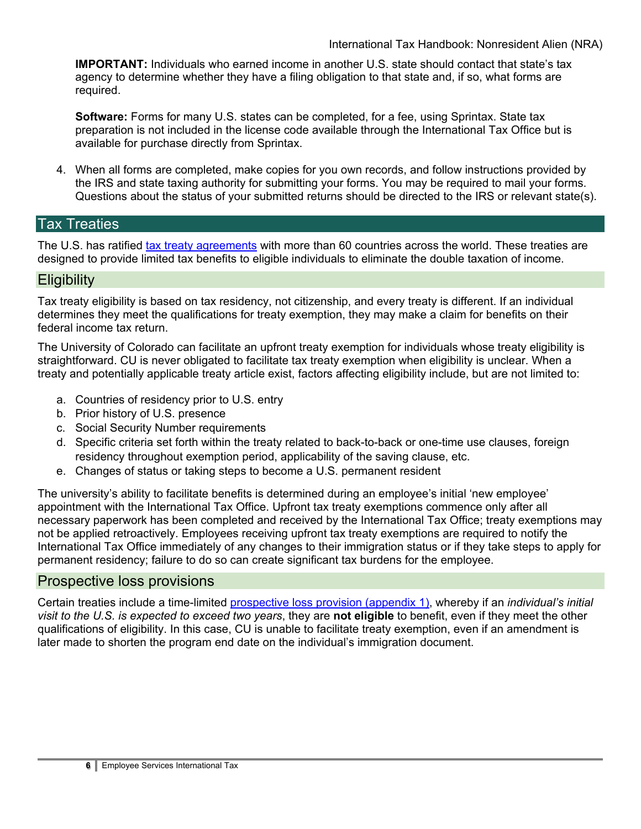**IMPORTANT:** Individuals who earned income in another U.S. state should contact that state's tax agency to determine whether they have a filing obligation to that state and, if so, what forms are required.

**Software:** Forms for many U.S. states can be completed, for a fee, using Sprintax. State tax preparation is not included in the license code available through the International Tax Office but is available for purchase directly from Sprintax.

4. When all forms are completed, make copies for you own records, and follow instructions provided by the IRS and state taxing authority for submitting your forms. You may be required to mail your forms. Questions about the status of your submitted returns should be directed to the IRS or relevant state(s).

## <span id="page-5-0"></span>Tax Treaties

The U.S. has ratified [tax treaty agreements](https://www.irs.gov/businesses/international-businesses/united-states-income-tax-treaties-a-to-z) with more than 60 countries across the world. These treaties are designed to provide limited tax benefits to eligible individuals to eliminate the double taxation of income.

### <span id="page-5-1"></span>**Eligibility**

Tax treaty eligibility is based on tax residency, not citizenship, and every treaty is different. If an individual determines they meet the qualifications for treaty exemption, they may make a claim for benefits on their federal income tax return.

The University of Colorado can facilitate an upfront treaty exemption for individuals whose treaty eligibility is straightforward. CU is never obligated to facilitate tax treaty exemption when eligibility is unclear. When a treaty and potentially applicable treaty article exist, factors affecting eligibility include, but are not limited to:

- a. Countries of residency prior to U.S. entry
- b. Prior history of U.S. presence
- c. Social Security Number requirements
- d. Specific criteria set forth within the treaty related to back-to-back or one-time use clauses, foreign residency throughout exemption period, applicability of the saving clause, etc.
- e. Changes of status or taking steps to become a U.S. permanent resident

The university's ability to facilitate benefits is determined during an employee's initial 'new employee' appointment with the International Tax Office. Upfront tax treaty exemptions commence only after all necessary paperwork has been completed and received by the International Tax Office; treaty exemptions may not be applied retroactively. Employees receiving upfront tax treaty exemptions are required to notify the International Tax Office immediately of any changes to their immigration status or if they take steps to apply for permanent residency; failure to do so can create significant tax burdens for the employee.

#### <span id="page-5-2"></span>Prospective loss provisions

Certain treaties include a time-limited [prospective loss provision \(appendix 1\),](#page-10-0) whereby if an *individual's initial visit to the U.S. is expected to exceed two years*, they are **not eligible** to benefit, even if they meet the other qualifications of eligibility. In this case, CU is unable to facilitate treaty exemption, even if an amendment is later made to shorten the program end date on the individual's immigration document.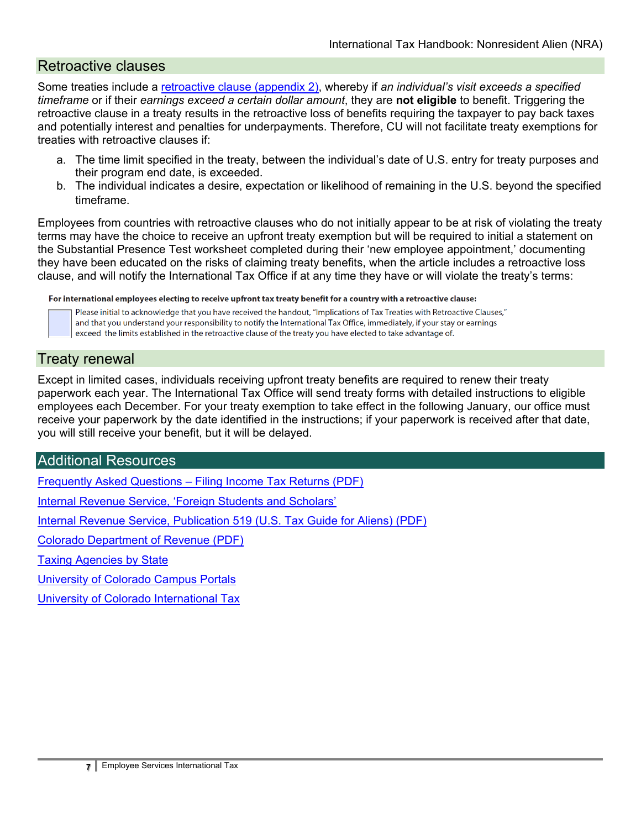# <span id="page-6-0"></span>Retroactive clauses

Some treaties include a [retroactive clause \(appendix 2\),](#page-11-0) whereby if *an individual's visit exceeds a specified timeframe* or if their *earnings exceed a certain dollar amount*, they are **not eligible** to benefit. Triggering the retroactive clause in a treaty results in the retroactive loss of benefits requiring the taxpayer to pay back taxes and potentially interest and penalties for underpayments. Therefore, CU will not facilitate treaty exemptions for treaties with retroactive clauses if:

- a. The time limit specified in the treaty, between the individual's date of U.S. entry for treaty purposes and their program end date, is exceeded.
- b. The individual indicates a desire, expectation or likelihood of remaining in the U.S. beyond the specified timeframe.

Employees from countries with retroactive clauses who do not initially appear to be at risk of violating the treaty terms may have the choice to receive an upfront treaty exemption but will be required to initial a statement on the Substantial Presence Test worksheet completed during their 'new employee appointment,' documenting they have been educated on the risks of claiming treaty benefits, when the article includes a retroactive loss clause, and will notify the International Tax Office if at any time they have or will violate the treaty's terms:

For international employees electing to receive upfront tax treaty benefit for a country with a retroactive clause:

Please initial to acknowledge that you have received the handout, "Implications of Tax Treaties with Retroactive Clauses," and that you understand your responsibility to notify the International Tax Office, immediately, if your stay or earnings exceed the limits established in the retroactive clause of the treaty you have elected to take advantage of.

## <span id="page-6-1"></span>Treaty renewal

Except in limited cases, individuals receiving upfront treaty benefits are required to renew their treaty paperwork each year. The International Tax Office will send treaty forms with detailed instructions to eligible employees each December. For your treaty exemption to take effect in the following January, our office must receive your paperwork by the date identified in the instructions; if your paperwork is received after that date, you will still receive your benefit, but it will be delayed.

## <span id="page-6-2"></span>Additional Resources

Frequently Asked Questions – [Filing Income Tax Returns \(PDF\)](https://www.cu.edu/sites/default/files/policies/docs/int-tax_FAQ.pdf)

[Internal Revenue Service, 'Foreign Students and Scholars'](https://www.irs.gov/individuals/international-taxpayers/foreign-students-and-scholars)

[Internal Revenue Service, Publication 519 \(U.S. Tax Guide for Aliens\) \(PDF\)](http://www.irs.gov/pub/irs-pdf/p519.pdf)

[Colorado Department of Revenue \(PDF\)](http://www.colorado.gov/revenue)

**[Taxing Agencies by State](https://www.taxadmin.org/state-tax-agencies)** 

[University of Colorado Campus Portals](https://my.cu.edu/)

[University of Colorado International Tax](http://www.cu.edu/employee-services/contact-us/contact-international-tax)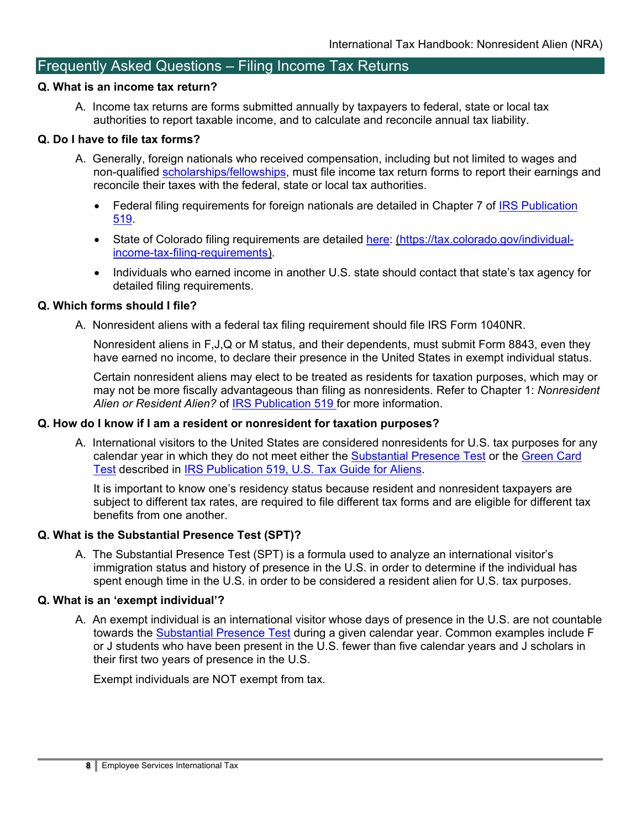# <span id="page-7-0"></span>Frequently Asked Questions – Filing Income Tax Returns

#### **Q. What is an income tax return?**

A. Income tax returns are forms submitted annually by taxpayers to federal, state or local tax authorities to report taxable income, and to calculate and reconcile annual tax liability.

#### **Q. Do I have to file tax forms?**

- A. Generally, foreign nationals who received compensation, including but not limited to wages and non-qualified **scholarships/fellowships**, must file income tax return forms to report their earnings and reconcile their taxes with the federal, state or local tax authorities.
	- Federal filing requirements for foreign nationals are detailed in Chapter 7 of IRS Publication [519.](https://www.irs.gov/forms-pubs/about-publication-519)
	- State of Colorado filing requirements are detailed [here:](https://tax.colorado.gov/individual-income-tax-filing-requirements) [\(https://tax.colorado.gov/individual](https://tax.colorado.gov/individual-income-tax-filing-requirements)[income-tax-filing-requirements\)](https://tax.colorado.gov/individual-income-tax-filing-requirements).
	- Individuals who earned income in another U.S. state should contact that state's tax agency for detailed filing requirements.

#### **Q. Which forms should I file?**

A. Nonresident aliens with a federal tax filing requirement should file [IRS Form 1040NR.](https://www.irs.gov/forms-pubs/about-form-1040-nr)

Nonresident aliens in F,J,Q or M status, and their dependents, must submit Form 8843, even they have earned no income, to declare their presence in the United States in exempt individual status.

Certain nonresident aliens may elect to be treated as residents for taxation purposes, which may or may not be more fiscally advantageous than filing as nonresidents. Refer to Chapter 1: *Nonresident*  Alien or Resident Alien? of **IRS Publication 519** for more information.

#### **Q. How do I know if I am a resident or nonresident for taxation purposes?**

A. International visitors to the United States are considered nonresidents for U.S. tax purposes for any calendar year in which they do not meet either the [Substantial Presence Test](https://www.irs.gov/individuals/international-taxpayers/substantial-presence-test) or the [Green Card](https://www.irs.gov/individuals/international-taxpayers/alien-residency-green-card-test)  [Test](https://www.irs.gov/individuals/international-taxpayers/alien-residency-green-card-test) described in [IRS Publication 519, U.S. Tax Guide for Aliens.](https://www.irs.gov/forms-pubs/about-publication-519)

It is important to know one's residency status because resident and nonresident taxpayers are subject to different tax rates, are required to file different tax forms and are eligible for different tax benefits from one another.

#### **Q. What is the Substantial Presence Test (SPT)?**

A. The Substantial Presence Test (SPT) is a formula used to analyze an international visitor's immigration status and history of presence in the U.S. in order to determine if the individual has spent enough time in the U.S. in order to be considered a resident alien for U.S. tax purposes.

#### **Q. What is an 'exempt individual'?**

A. An exempt individual is an international visitor whose days of presence in the U.S. are not countable towards the [Substantial Presence Test](https://www.irs.gov/individuals/international-taxpayers/substantial-presence-test) during a given calendar year. Common examples include F or J students who have been present in the U.S. fewer than five calendar years and J scholars in their first two years of presence in the U.S.

Exempt individuals are NOT exempt from tax.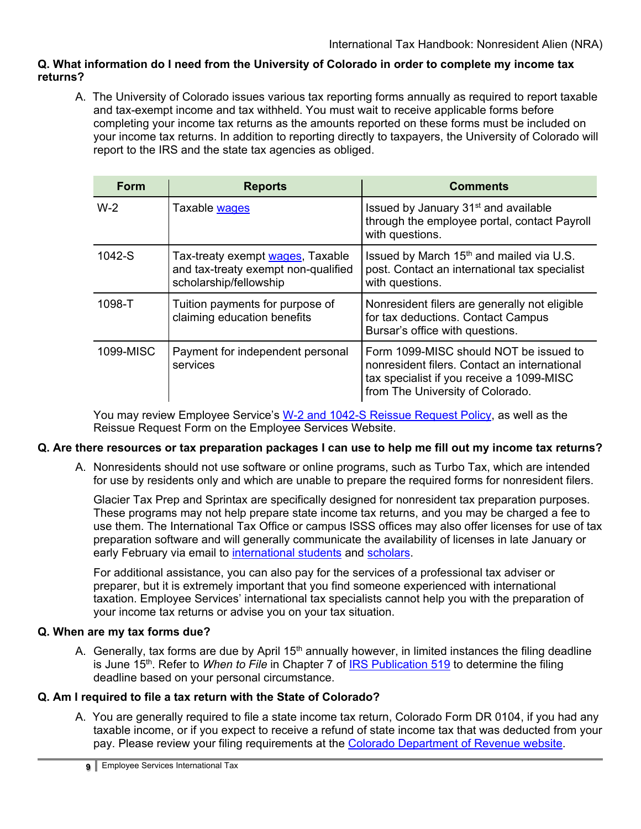#### **Q. What information do I need from the University of Colorado in order to complete my income tax returns?**

A. The University of Colorado issues various tax reporting forms annually as required to report taxable and tax-exempt income and tax withheld. You must wait to receive applicable forms before completing your income tax returns as the amounts reported on these forms must be included on your income tax returns. In addition to reporting directly to taxpayers, the University of Colorado will report to the IRS and the state tax agencies as obliged.

| <b>Form</b> | <b>Reports</b>                                                                                    | <b>Comments</b>                                                                                                                                                         |
|-------------|---------------------------------------------------------------------------------------------------|-------------------------------------------------------------------------------------------------------------------------------------------------------------------------|
| $W-2$       | Taxable wages                                                                                     | Issued by January 31 <sup>st</sup> and available<br>through the employee portal, contact Payroll<br>with questions.                                                     |
| 1042-S      | Tax-treaty exempt wages, Taxable<br>and tax-treaty exempt non-qualified<br>scholarship/fellowship | Issued by March $15th$ and mailed via U.S.<br>post. Contact an international tax specialist<br>with questions.                                                          |
| 1098-T      | Tuition payments for purpose of<br>claiming education benefits                                    | Nonresident filers are generally not eligible<br>for tax deductions. Contact Campus<br>Bursar's office with questions.                                                  |
| 1099-MISC   | Payment for independent personal<br>services                                                      | Form 1099-MISC should NOT be issued to<br>nonresident filers. Contact an international<br>tax specialist if you receive a 1099-MISC<br>from The University of Colorado. |

You may review Employee Service's [W-2 and 1042-S Reissue Request Policy,](https://www.cu.edu/docs/w-21042-s-reissue-request-form) as well as the Reissue Request Form on the Employee Services Website.

#### **Q. Are there resources or tax preparation packages I can use to help me fill out my income tax returns?**

A. Nonresidents should not use software or online programs, such as Turbo Tax, which are intended for use by residents only and which are unable to prepare the required forms for nonresident filers.

Glacier Tax Prep and Sprintax are specifically designed for nonresident tax preparation purposes. These programs may not help prepare state income tax returns, and you may be charged a fee to use them. The International Tax Office or campus ISSS offices may also offer licenses for use of tax preparation software and will generally communicate the availability of licenses in late January or early February via email to [international](#page-9-0) students and [scholars.](#page-9-0)

For additional assistance, you can also pay for the services of a professional tax adviser or preparer, but it is extremely important that you find someone experienced with international taxation. Employee Services' international tax specialists cannot help you with the preparation of your income tax returns or advise you on your tax situation.

#### **Q. When are my tax forms due?**

A. Generally, tax forms are due by April 15<sup>th</sup> annually however, in limited instances the filing deadline is June 15<sup>th</sup>. Refer to *When to File* in Chapter 7 of [IRS Publication 519](https://www.irs.gov/forms-pubs/about-publication-519) to determine the filing deadline based on your personal circumstance.

#### **Q. Am I required to file a tax return with the State of Colorado?**

A. You are generally required to file a state income tax return, Colorado Form DR 0104, if you had any taxable income, or if you expect to receive a refund of state income tax that was deducted from your pay. Please review your filing requirements at the [Colorado Department of Revenue website.](https://cdor.colorado.gov/)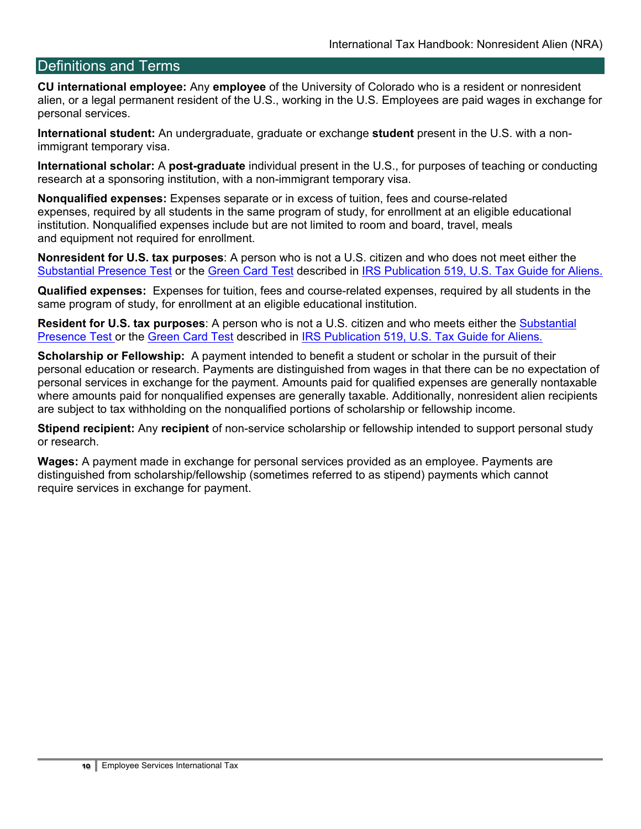# <span id="page-9-0"></span>Definitions and Terms

**CU international employee:** Any **employee** of the University of Colorado who is a resident or nonresident alien, or a legal permanent resident of the U.S., working in the U.S. Employees are paid wages in exchange for personal services.

**International student:** An undergraduate, graduate or exchange **student** present in the U.S. with a nonimmigrant temporary visa.

**International scholar:** A **post-graduate** individual present in the U.S., for purposes of teaching or conducting research at a sponsoring institution, with a non-immigrant temporary visa.

**Nonqualified expenses:** Expenses separate or in excess of tuition, fees and course-related expenses, required by all students in the same program of study, for enrollment at an eligible educational institution. Nonqualified expenses include but are not limited to room and board, travel, meals and equipment not required for enrollment.

**Nonresident for U.S. tax purposes**: A person who is not a U.S. citizen and who does not meet either the [Substantial Presence Test](https://www.irs.gov/individuals/international-taxpayers/substantial-presence-test) or the [Green Card Test](https://www.irs.gov/individuals/international-taxpayers/alien-residency-green-card-test) described in [IRS Publication 519, U.S. Tax Guide for Aliens.](https://www.irs.gov/forms-pubs/about-publication-519)

**Qualified expenses:** Expenses for tuition, fees and course-related expenses, required by all students in the same program of study, for enrollment at an eligible educational institution.

**Resident for U.S. tax purposes**: A person who is not a U.S. citizen and who meets either the [Substantial](https://www.irs.gov/individuals/international-taxpayers/substantial-presence-test)  [Presence Test](https://www.irs.gov/individuals/international-taxpayers/substantial-presence-test) or the [Green Card Test](https://www.irs.gov/individuals/international-taxpayers/alien-residency-green-card-test) described in [IRS Publication 519, U.S. Tax Guide for Aliens.](https://www.irs.gov/forms-pubs/about-publication-519)

**Scholarship or Fellowship:** A payment intended to benefit a student or scholar in the pursuit of their personal education or research. Payments are distinguished from wages in that there can be no expectation of personal services in exchange for the payment. Amounts paid for qualified expenses are generally nontaxable where amounts paid for nonqualified expenses are generally taxable. Additionally, nonresident alien recipients are subject to tax withholding on the nonqualified portions of scholarship or fellowship income.

**Stipend recipient:** Any **recipient** of non-service scholarship or fellowship intended to support personal study or research.

**Wages:** A payment made in exchange for personal services provided as an employee. Payments are distinguished from scholarship/fellowship (sometimes referred to as stipend) payments which cannot require services in exchange for payment.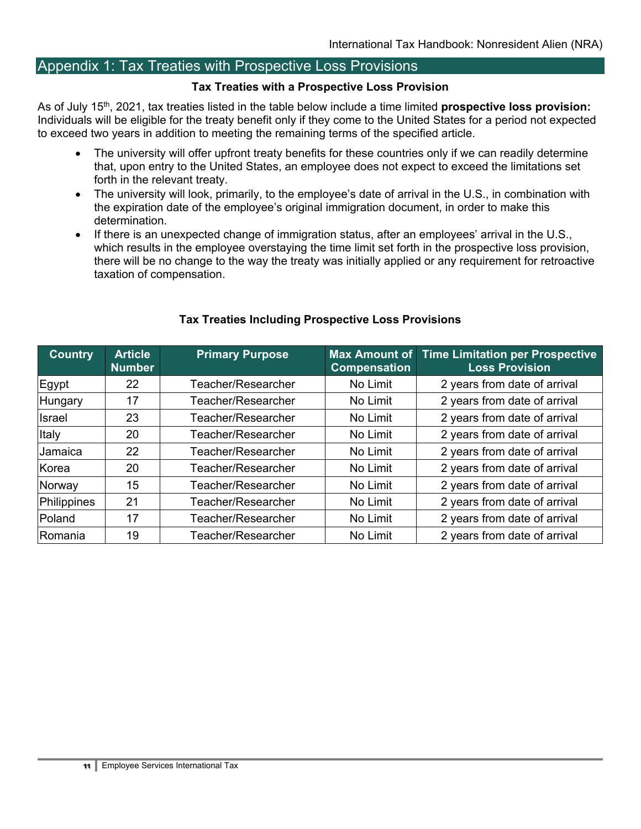# <span id="page-10-0"></span>Appendix 1: Tax Treaties with Prospective Loss Provisions

#### **Tax Treaties with a Prospective Loss Provision**

As of July 15th, 2021, tax treaties listed in the table below include a time limited **prospective loss provision:** Individuals will be eligible for the treaty benefit only if they come to the United States for a period not expected to exceed two years in addition to meeting the remaining terms of the specified article.

- The university will offer upfront treaty benefits for these countries only if we can readily determine that, upon entry to the United States, an employee does not expect to exceed the limitations set forth in the relevant treaty.
- The university will look, primarily, to the employee's date of arrival in the U.S., in combination with the expiration date of the employee's original immigration document, in order to make this determination.
- If there is an unexpected change of immigration status, after an employees' arrival in the U.S., which results in the employee overstaying the time limit set forth in the prospective loss provision, there will be no change to the way the treaty was initially applied or any requirement for retroactive taxation of compensation.

| <b>Country</b> | <b>Article</b><br><b>Number</b> | <b>Primary Purpose</b> | Max Amount of<br><b>Compensation</b> | <b>Time Limitation per Prospective</b><br><b>Loss Provision</b> |  |
|----------------|---------------------------------|------------------------|--------------------------------------|-----------------------------------------------------------------|--|
| Egypt          | 22                              | Teacher/Researcher     | No Limit                             | 2 years from date of arrival                                    |  |
| <b>Hungary</b> | 17                              | Teacher/Researcher     | No Limit                             | 2 years from date of arrival                                    |  |
| IIsrael        | 23                              | Teacher/Researcher     | No Limit                             | 2 years from date of arrival                                    |  |
| Italy          | 20                              | Teacher/Researcher     | No Limit                             | 2 years from date of arrival                                    |  |
| Jamaica        | 22                              | Teacher/Researcher     | No Limit                             | 2 years from date of arrival                                    |  |
| <b>Korea</b>   | 20                              | Teacher/Researcher     | No Limit                             | 2 years from date of arrival                                    |  |
| Norway         | 15                              | Teacher/Researcher     | No Limit                             | 2 years from date of arrival                                    |  |
| Philippines    | 21                              | Teacher/Researcher     | No Limit                             | 2 years from date of arrival                                    |  |
| Poland         | 17                              | Teacher/Researcher     | No Limit                             | 2 years from date of arrival                                    |  |
| Romania        | 19                              | Teacher/Researcher     | No Limit                             | 2 years from date of arrival                                    |  |

#### **Tax Treaties Including Prospective Loss Provisions**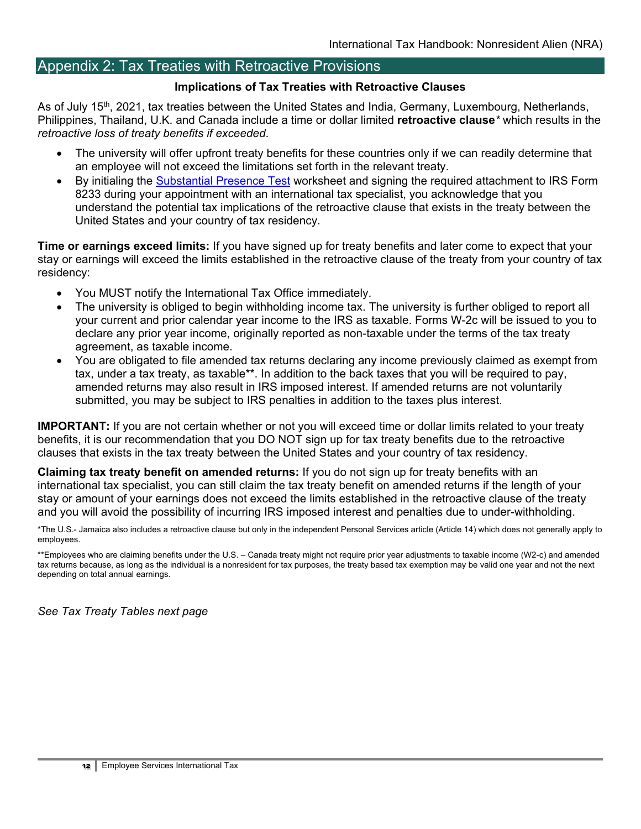# <span id="page-11-0"></span>Appendix 2: Tax Treaties with Retroactive Provisions

#### **Implications of Tax Treaties with Retroactive Clauses**

As of July 15th, 2021, tax treaties between the United States and India, Germany, Luxembourg, Netherlands, Philippines, Thailand, U.K. and Canada include a time or dollar limited **retroactive clause***\** which results in the *retroactive loss of treaty benefits if exceeded*.

- The university will offer upfront treaty benefits for these countries only if we can readily determine that an employee will not exceed the limitations set forth in the relevant treaty.
- By initialing the [Substantial Presence Test](https://www.irs.gov/individuals/international-taxpayers/substantial-presence-test) worksheet and signing the required attachment to IRS Form 8233 during your appointment with an international tax specialist, you acknowledge that you understand the potential tax implications of the retroactive clause that exists in the treaty between the United States and your country of tax residency.

**Time or earnings exceed limits:** If you have signed up for treaty benefits and later come to expect that your stay or earnings will exceed the limits established in the retroactive clause of the treaty from your country of tax residency:

- You MUST notify the International Tax Office immediately.
- The university is obliged to begin withholding income tax. The university is further obliged to report all your current and prior calendar year income to the IRS as taxable. Forms W-2c will be issued to you to declare any prior year income, originally reported as non-taxable under the terms of the tax treaty agreement, as taxable income.
- You are obligated to file amended tax returns declaring any income previously claimed as exempt from tax, under a tax treaty, as taxable\*\*. In addition to the back taxes that you will be required to pay, amended returns may also result in IRS imposed interest. If amended returns are not voluntarily submitted, you may be subject to IRS penalties in addition to the taxes plus interest.

**IMPORTANT:** If you are not certain whether or not you will exceed time or dollar limits related to your treaty benefits, it is our recommendation that you DO NOT sign up for tax treaty benefits due to the retroactive clauses that exists in the tax treaty between the United States and your country of tax residency.

**Claiming tax treaty benefit on amended returns:** If you do not sign up for treaty benefits with an international tax specialist, you can still claim the tax treaty benefit on amended returns if the length of your stay or amount of your earnings does not exceed the limits established in the retroactive clause of the treaty and you will avoid the possibility of incurring IRS imposed interest and penalties due to under-withholding.

\*The U.S.- Jamaica also includes a retroactive clause but only in the independent Personal Services article (Article 14) which does not generally apply to employees.

\*\*Employees who are claiming benefits under the U.S. – Canada treaty might not require prior year adjustments to taxable income (W2-c) and amended tax returns because, as long as the individual is a nonresident for tax purposes, the treaty based tax exemption may be valid one year and not the next depending on total annual earnings.

*See Tax Treaty Tables next page*